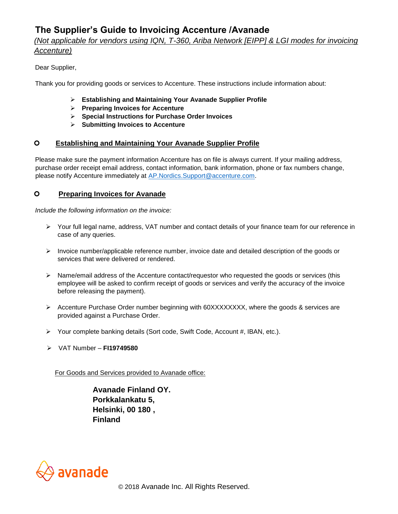# **The Supplier's Guide to Invoicing Accenture /Avanade**

# *(Not applicable for vendors using IQN, T-360, Ariba Network [EIPP] & LGI modes for invoicing Accenture)*

### Dear Supplier,

Thank you for providing goods or services to Accenture. These instructions include information about:

- ➢ **Establishing and Maintaining Your Avanade Supplier Profile**
- ➢ **Preparing Invoices for Accenture**
- ➢ **Special Instructions for Purchase Order Invoices**
- ➢ **Submitting Invoices to Accenture**

#### **Establishing and Maintaining Your Avanade Supplier Profile**

Please make sure the payment information Accenture has on file is always current. If your mailing address, purchase order receipt email address, contact information, bank information, phone or fax numbers change, please notify Accenture immediately at AP.Nordics.Support@accenture.com.

#### **Preparing Invoices for Avanade**

*Include the following information on the invoice:*

- ➢ Your full legal name, address, VAT number and contact details of your finance team for our reference in case of any queries.
- $\triangleright$  Invoice number/applicable reference number, invoice date and detailed description of the goods or services that were delivered or rendered.
- $\triangleright$  Name/email address of the Accenture contact/requestor who requested the goods or services (this employee will be asked to confirm receipt of goods or services and verify the accuracy of the invoice before releasing the payment).
- ➢ Accenture Purchase Order number beginning with 60XXXXXXXX, where the goods & services are provided against a Purchase Order.
- ➢ Your complete banking details (Sort code, Swift Code, Account #, IBAN, etc.).
- ➢ VAT Number **FI19749580**

For Goods and Services provided to Avanade office:

 **Avanade Finland OY. Porkkalankatu 5, Helsinki, 00 180 , Finland** 

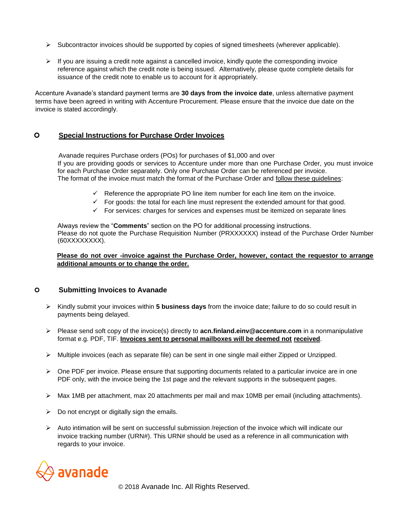- $\triangleright$  Subcontractor invoices should be supported by copies of signed timesheets (wherever applicable).
- $\triangleright$  If you are issuing a credit note against a cancelled invoice, kindly quote the corresponding invoice reference against which the credit note is being issued. Alternatively, please quote complete details for issuance of the credit note to enable us to account for it appropriately.

Accenture Avanade's standard payment terms are **30 days from the invoice date**, unless alternative payment terms have been agreed in writing with Accenture Procurement. Please ensure that the invoice due date on the invoice is stated accordingly.

## **Special Instructions for Purchase Order Invoices**

Avanade requires Purchase orders (POs) for purchases of \$1,000 and over If you are providing goods or services to Accenture under more than one Purchase Order, you must invoice for each Purchase Order separately. Only one Purchase Order can be referenced per invoice. The format of the invoice must match the format of the Purchase Order and follow these guidelines:

- $\checkmark$  Reference the appropriate PO line item number for each line item on the invoice.
- $\checkmark$  For goods: the total for each line must represent the extended amount for that good.
- $\checkmark$  For services: charges for services and expenses must be itemized on separate lines

Always review the "**Comments**" section on the PO for additional processing instructions. Please do not quote the Purchase Requisition Number (PRXXXXXX) instead of the Purchase Order Number (60XXXXXXXX).

#### **Please do not over -invoice against the Purchase Order, however, contact the requestor to arrange additional amounts or to change the order.**

#### **Submitting Invoices to Avanade**

- ➢ Kindly submit your invoices within **5 business days** from the invoice date; failure to do so could result in payments being delayed.
- ➢ Please send soft copy of the invoice(s) directly to **acn.finland.einv@accenture.com** in a nonmanipulative format e.g. PDF, TIF. **Invoices sent to personal mailboxes will be deemed not received**.
- $\triangleright$  Multiple invoices (each as separate file) can be sent in one single mail either Zipped or Unzipped.
- $\triangleright$  One PDF per invoice. Please ensure that supporting documents related to a particular invoice are in one PDF only, with the invoice being the 1st page and the relevant supports in the subsequent pages.
- ➢ Max 1MB per attachment, max 20 attachments per mail and max 10MB per email (including attachments).
- $\triangleright$  Do not encrypt or digitally sign the emails.
- $\triangleright$  Auto intimation will be sent on successful submission /rejection of the invoice which will indicate our invoice tracking number (URN#). This URN# should be used as a reference in all communication with regards to your invoice.



© 2018 Avanade Inc. All Rights Reserved.